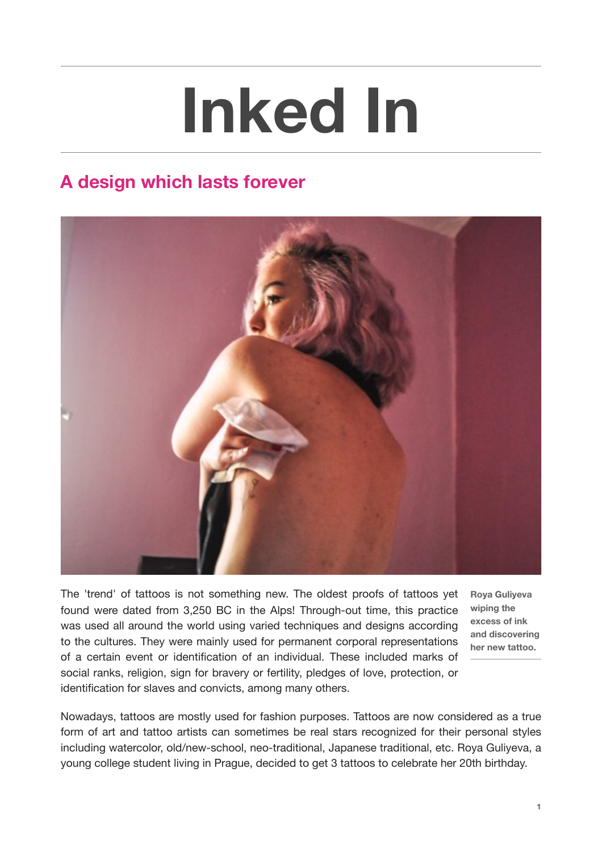## **Inked In**

## **A design which lasts forever**



The 'trend' of tattoos is not something new. The oldest proofs of tattoos yet found were dated from 3,250 BC in the Alps! Through-out time, this practice was used all around the world using varied techniques and designs according to the cultures. They were mainly used for permanent corporal representations of a certain event or identification of an individual. These included marks of social ranks, religion, sign for bravery or fertility, pledges of love, protection, or identification for slaves and convicts, among many others.

**Roya Guliyeva wiping the excess of ink and discovering her new tattoo.**

Nowadays, tattoos are mostly used for fashion purposes. Tattoos are now considered as a true form of art and tattoo artists can sometimes be real stars recognized for their personal styles including watercolor, old/new-school, neo-traditional, Japanese traditional, etc. Roya Guliyeva, a young college student living in Prague, decided to get 3 tattoos to celebrate her 20th birthday.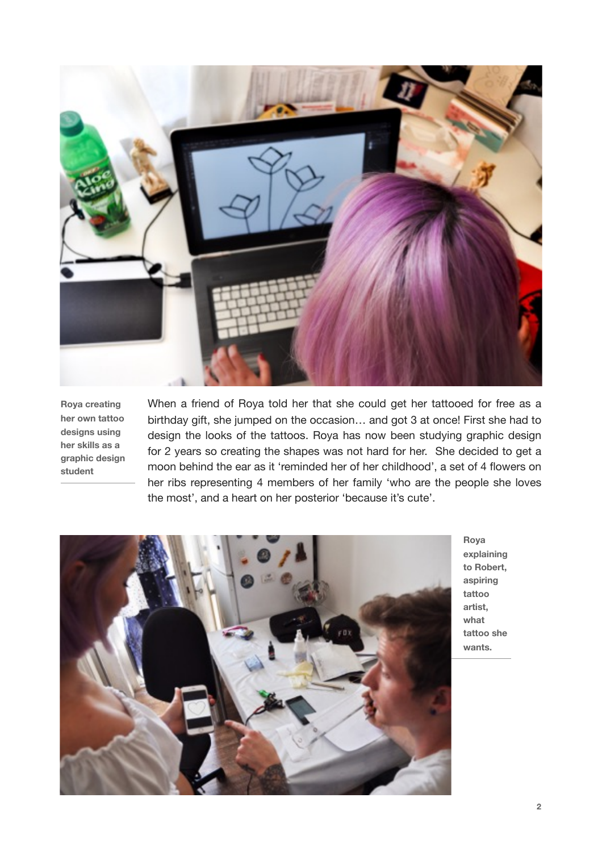

**Roya creating her own tattoo designs using her skills as a graphic design student** 

When a friend of Roya told her that she could get her tattooed for free as a birthday gift, she jumped on the occasion… and got 3 at once! First she had to design the looks of the tattoos. Roya has now been studying graphic design for 2 years so creating the shapes was not hard for her. She decided to get a moon behind the ear as it 'reminded her of her childhood', a set of 4 flowers on her ribs representing 4 members of her family 'who are the people she loves the most', and a heart on her posterior 'because it's cute'.



**Roya explaining to Robert, aspiring tattoo artist, what tattoo she wants.**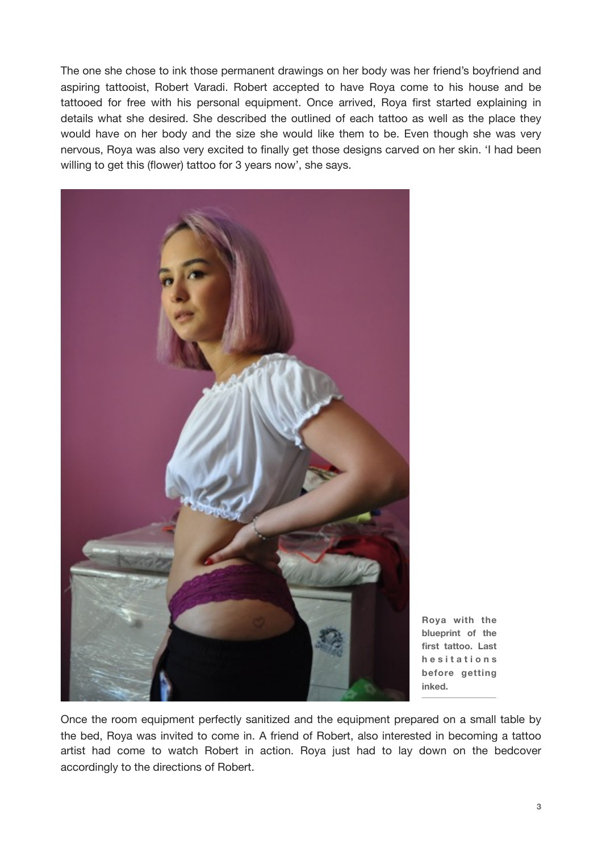The one she chose to ink those permanent drawings on her body was her friend's boyfriend and aspiring tattooist, Robert Varadi. Robert accepted to have Roya come to his house and be tattooed for free with his personal equipment. Once arrived, Roya first started explaining in details what she desired. She described the outlined of each tattoo as well as the place they would have on her body and the size she would like them to be. Even though she was very nervous, Roya was also very excited to finally get those designs carved on her skin. 'I had been willing to get this (flower) tattoo for 3 years now', she says.



**Roya with the blueprint of the first tattoo. Last h e s i t a t i o n s before getting inked.**

Once the room equipment perfectly sanitized and the equipment prepared on a small table by the bed, Roya was invited to come in. A friend of Robert, also interested in becoming a tattoo artist had come to watch Robert in action. Roya just had to lay down on the bedcover accordingly to the directions of Robert.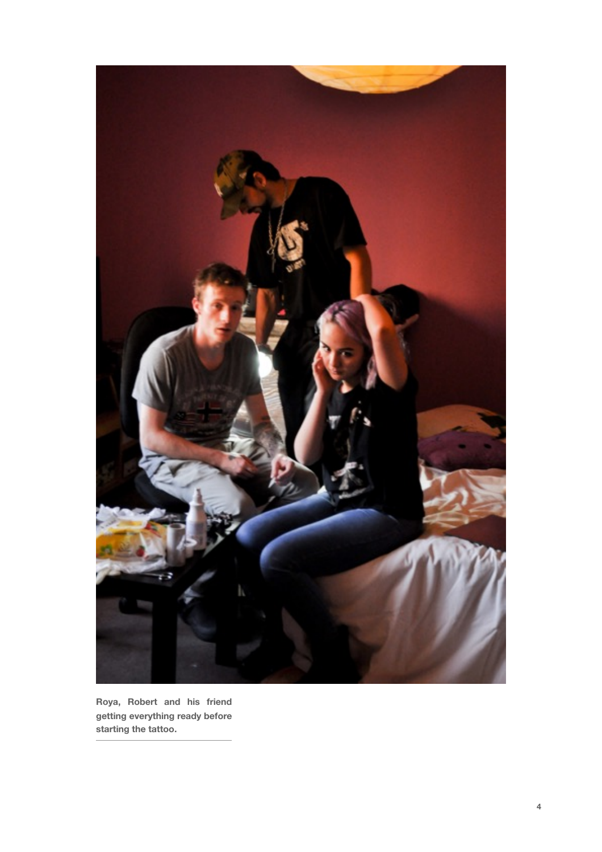

**Roya, Robert and his friend getting everything ready before starting the tattoo.**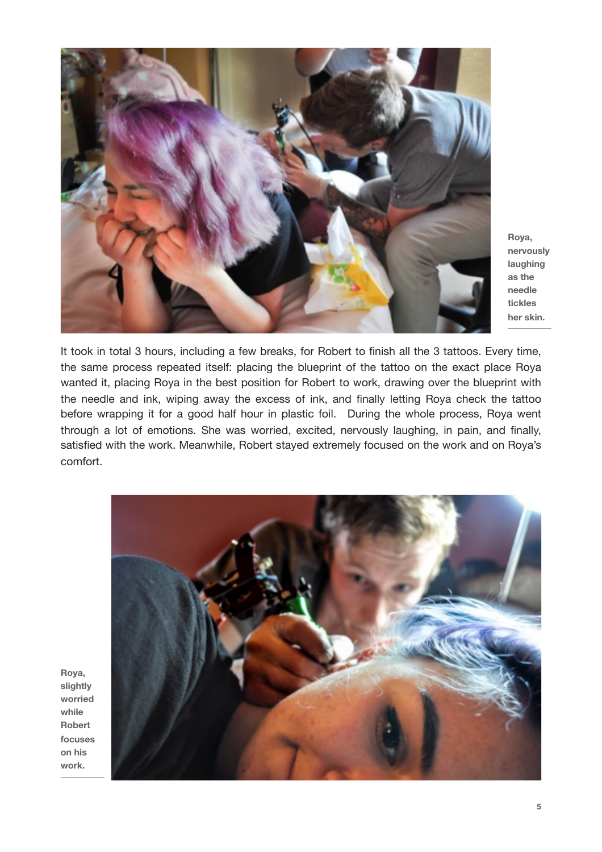

**Roya, nervously laughing as the needle tickles her skin.** 

It took in total 3 hours, including a few breaks, for Robert to finish all the 3 tattoos. Every time, the same process repeated itself: placing the blueprint of the tattoo on the exact place Roya wanted it, placing Roya in the best position for Robert to work, drawing over the blueprint with the needle and ink, wiping away the excess of ink, and finally letting Roya check the tattoo before wrapping it for a good half hour in plastic foil. During the whole process, Roya went through a lot of emotions. She was worried, excited, nervously laughing, in pain, and finally, satisfied with the work. Meanwhile, Robert stayed extremely focused on the work and on Roya's comfort.



**Roya, slightly worried while Robert focuses on his work.**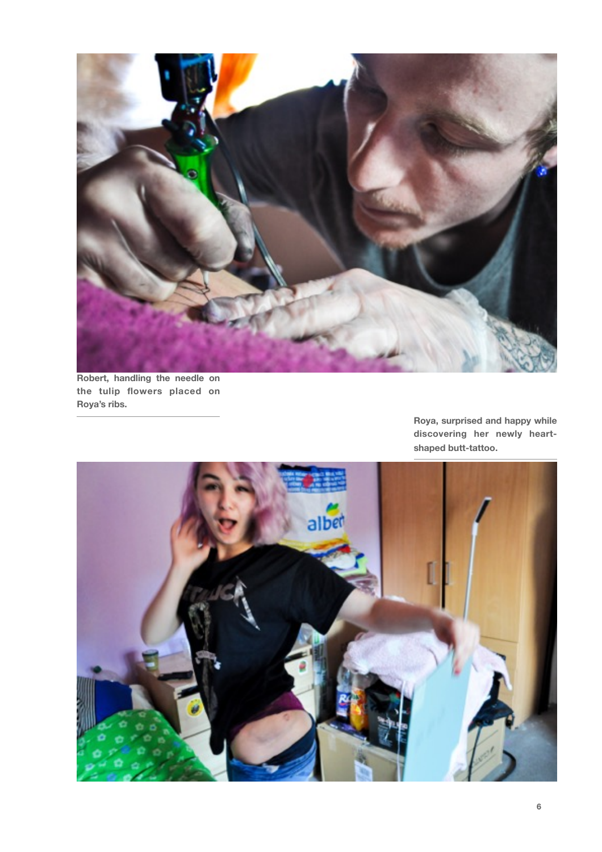

**Robert, handling the needle on the tulip flowers placed on Roya's ribs.** 

> **Roya, surprised and happy while discovering her newly heartshaped butt-tattoo.**